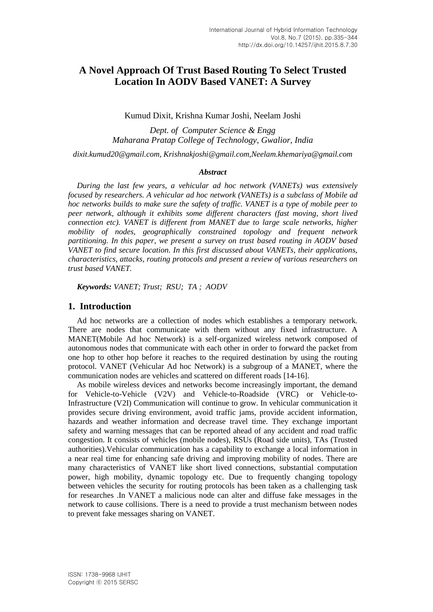# **A Novel Approach Of Trust Based Routing To Select Trusted Location In AODV Based VANET: A Survey**

Kumud Dixit, Krishna Kumar Joshi, Neelam Joshi

*Dept. of Computer Science & Engg Maharana Pratap College of Technology, Gwalior, India*

*[dixit.kumud20@gmail.com,](mailto:dixit.kumud20@gmail.com) [Krishnakjoshi@gmail.com](mailto:Krishnakjoshi@gmail.com)[,Neelam.khemariya@gmail.com](mailto:Neelam.khemariya@gmail.com)*

#### *Abstract*

*During the last few years, a vehicular ad hoc network (VANETs) was extensively focused by researchers. A vehicular ad hoc network (VANETs) is a subclass of Mobile ad hoc networks builds to make sure the safety of traffic. VANET is a type of mobile peer to peer network, although it exhibits some different characters (fast moving, short lived connection etc). VANET is different from MANET due to large scale networks, higher mobility of nodes, geographically constrained topology and frequent network partitioning. In this paper, we present a survey on trust based routing in AODV based VANET to find secure location. In this first discussed about VANETs, their applications, characteristics, attacks, routing protocols and present a review of various researchers on trust based VANET.* 

*Keywords: VANET; Trust; RSU; TA ; AODV*

### **1. Introduction**

Ad hoc networks are a collection of nodes which establishes a temporary network. There are nodes that communicate with them without any fixed infrastructure. A MANET(Mobile Ad hoc Network) is a self-organized wireless network composed of autonomous nodes that communicate with each other in order to forward the packet from one hop to other hop before it reaches to the required destination by using the routing protocol. VANET (Vehicular Ad hoc Network) is a subgroup of a MANET, where the communication nodes are vehicles and scattered on different roads [14-16].

As mobile wireless devices and networks become increasingly important, the demand for Vehicle-to-Vehicle (V2V) and Vehicle-to-Roadside (VRC) or Vehicle-to-Infrastructure (V2I) Communication will continue to grow. In vehicular communication it provides secure driving environment, avoid traffic jams, provide accident information, hazards and weather information and decrease travel time. They exchange important safety and warning messages that can be reported ahead of any accident and road traffic congestion. It consists of vehicles (mobile nodes), RSUs (Road side units), TAs (Trusted authorities).Vehicular communication has a capability to exchange a local information in a near real time for enhancing safe driving and improving mobility of nodes. There are many characteristics of VANET like short lived connections, substantial computation power, high mobility, dynamic topology etc. Due to frequently changing topology between vehicles the security for routing protocols has been taken as a challenging task for researches .In VANET a malicious node can alter and diffuse fake messages in the network to cause collisions. There is a need to provide a trust mechanism between nodes to prevent fake messages sharing on VANET.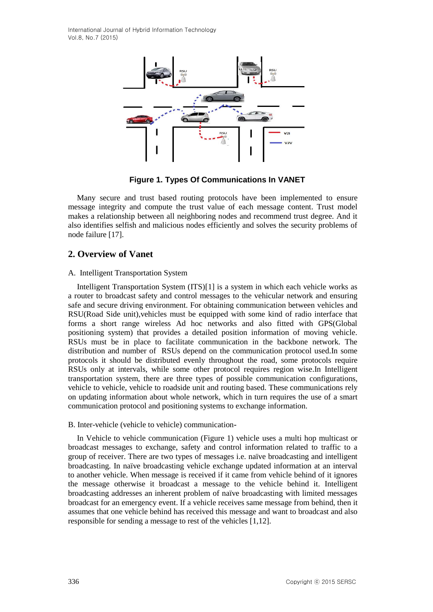International Journal of Hybrid Information Technology Vol.8, No.7 (2015)



**Figure 1. Types Of Communications In VANET**

Many secure and trust based routing protocols have been implemented to ensure message integrity and compute the trust value of each message content. Trust model makes a relationship between all neighboring nodes and recommend trust degree. And it also identifies selfish and malicious nodes efficiently and solves the security problems of node failure [17].

# **2. Overview of Vanet**

#### A. Intelligent Transportation System

Intelligent Transportation System (ITS)[1] is a system in which each vehicle works as a router to broadcast safety and control messages to the vehicular network and ensuring safe and secure driving environment. For obtaining communication between vehicles and RSU(Road Side unit),vehicles must be equipped with some kind of radio interface that forms a short range wireless Ad hoc networks and also fitted with GPS(Global positioning system) that provides a detailed position information of moving vehicle. RSUs must be in place to facilitate communication in the backbone network. The distribution and number of RSUs depend on the communication protocol used.In some protocols it should be distributed evenly throughout the road, some protocols require RSUs only at intervals, while some other protocol requires region wise.In Intelligent transportation system, there are three types of possible communication configurations, vehicle to vehicle, vehicle to roadside unit and routing based. These communications rely on updating information about whole network, which in turn requires the use of a smart communication protocol and positioning systems to exchange information.

#### B. Inter-vehicle (vehicle to vehicle) communication**-**

In Vehicle to vehicle communication (Figure 1) vehicle uses a multi hop multicast or broadcast messages to exchange, safety and control information related to traffic to a group of receiver. There are two types of messages i.e. naïve broadcasting and intelligent broadcasting. In naïve broadcasting vehicle exchange updated information at an interval to another vehicle. When message is received if it came from vehicle behind of it ignores the message otherwise it broadcast a message to the vehicle behind it. Intelligent broadcasting addresses an inherent problem of naïve broadcasting with limited messages broadcast for an emergency event. If a vehicle receives same message from behind, then it assumes that one vehicle behind has received this message and want to broadcast and also responsible for sending a message to rest of the vehicles [1,12].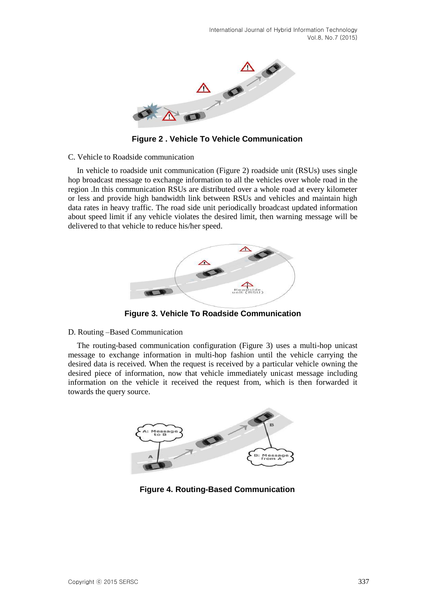

**Figure 2 . Vehicle To Vehicle Communication**

### C. Vehicle to Roadside communication

In vehicle to roadside unit communication (Figure 2) roadside unit (RSUs) uses single hop broadcast message to exchange information to all the vehicles over whole road in the region .In this communication RSUs are distributed over a whole road at every kilometer or less and provide high bandwidth link between RSUs and vehicles and maintain high data rates in heavy traffic. The road side unit periodically broadcast updated information about speed limit if any vehicle violates the desired limit, then warning message will be delivered to that vehicle to reduce his/her speed.



**Figure 3. Vehicle To Roadside Communication**

### D. Routing –Based Communication

The routing-based communication configuration (Figure 3) uses a multi-hop unicast message to exchange information in multi-hop fashion until the vehicle carrying the desired data is received. When the request is received by a particular vehicle owning the desired piece of information, now that vehicle immediately unicast message including information on the vehicle it received the request from, which is then forwarded it towards the query source.



**Figure 4. Routing-Based Communication**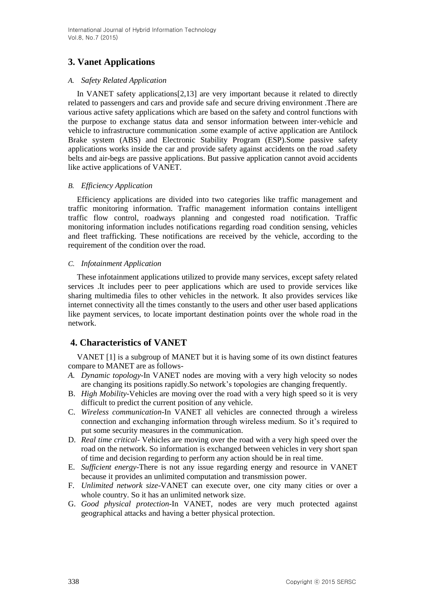# **3. Vanet Applications**

# *A. Safety Related Application*

In VANET safety applications[2,13] are very important because it related to directly related to passengers and cars and provide safe and secure driving environment .There are various active safety applications which are based on the safety and control functions with the purpose to exchange status data and sensor information between inter-vehicle and vehicle to infrastructure communication .some example of active application are Antilock Brake system (ABS) and Electronic Stability Program (ESP).Some passive safety applications works inside the car and provide safety against accidents on the road .safety belts and air-begs are passive applications. But passive application cannot avoid accidents like active applications of VANET.

# *B. Efficiency Application*

Efficiency applications are divided into two categories like traffic management and traffic monitoring information. Traffic management information contains intelligent traffic flow control, roadways planning and congested road notification. Traffic monitoring information includes notifications regarding road condition sensing, vehicles and fleet trafficking. These notifications are received by the vehicle, according to the requirement of the condition over the road.

# *C. Infotainment Application*

These infotainment applications utilized to provide many services, except safety related services .It includes peer to peer applications which are used to provide services like sharing multimedia files to other vehicles in the network. It also provides services like internet connectivity all the times constantly to the users and other user based applications like payment services, to locate important destination points over the whole road in the network.

# **4. Characteristics of VANET**

VANET [1] is a subgroup of MANET but it is having some of its own distinct features compare to MANET are as follows-

- *A. Dynamic topology*-In VANET nodes are moving with a very high velocity so nodes are changing its positions rapidly.So network's topologies are changing frequently.
- B. *High Mobility*-Vehicles are moving over the road with a very high speed so it is very difficult to predict the current position of any vehicle.
- C. *Wireless communication*-In VANET all vehicles are connected through a wireless connection and exchanging information through wireless medium. So it's required to put some security measures in the communication.
- D. *Real time critical* Vehicles are moving over the road with a very high speed over the road on the network. So information is exchanged between vehicles in very short span of time and decision regarding to perform any action should be in real time.
- E. *Sufficient energy*-There is not any issue regarding energy and resource in VANET because it provides an unlimited computation and transmission power.
- F. *Unlimited network size*-VANET can execute over, one city many cities or over a whole country. So it has an unlimited network size.
- G. *Good physical protection*-In VANET, nodes are very much protected against geographical attacks and having a better physical protection.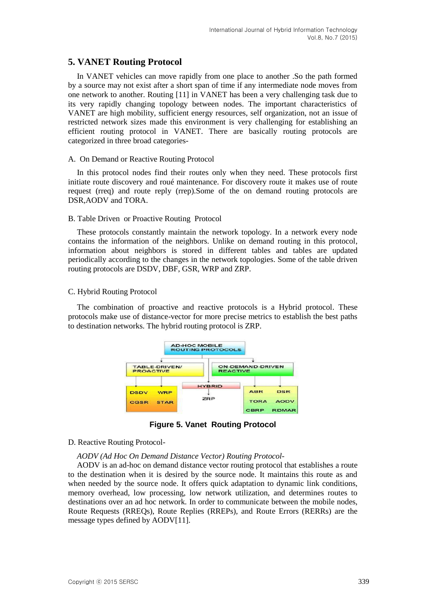# **5. VANET Routing Protocol**

In VANET vehicles can move rapidly from one place to another .So the path formed by a source may not exist after a short span of time if any intermediate node moves from one network to another. Routing [11] in VANET has been a very challenging task due to its very rapidly changing topology between nodes. The important characteristics of VANET are high mobility, sufficient energy resources, self organization, not an issue of restricted network sizes made this environment is very challenging for establishing an efficient routing protocol in VANET. There are basically routing protocols are categorized in three broad categories-

#### A. On Demand or Reactive Routing Protocol

In this protocol nodes find their routes only when they need. These protocols first initiate route discovery and roué maintenance. For discovery route it makes use of route request (rreq) and route reply (rrep).Some of the on demand routing protocols are DSR,AODV and TORA.

#### B. Table Driven or Proactive Routing Protocol

These protocols constantly maintain the network topology. In a network every node contains the information of the neighbors. Unlike on demand routing in this protocol, information about neighbors is stored in different tables and tables are updated periodically according to the changes in the network topologies. Some of the table driven routing protocols are DSDV, DBF, GSR, WRP and ZRP.

#### C. Hybrid Routing Protocol

The combination of proactive and reactive protocols is a Hybrid protocol. These protocols make use of distance-vector for more precise metrics to establish the best paths to destination networks. The hybrid routing protocol is ZRP.



**Figure 5. Vanet Routing Protocol**

#### D. Reactive Routing Protocol-

*AODV (Ad Hoc On Demand Distance Vector) Routing Protocol-*

AODV is an ad-hoc on demand distance vector routing protocol that establishes a route to the destination when it is desired by the source node. It maintains this route as and when needed by the source node. It offers quick adaptation to dynamic link conditions, memory overhead, low processing, low network utilization, and determines routes to destinations over an ad hoc network. In order to communicate between the mobile nodes, Route Requests (RREQs), Route Replies (RREPs), and Route Errors (RERRs) are the message types defined by AODV[11].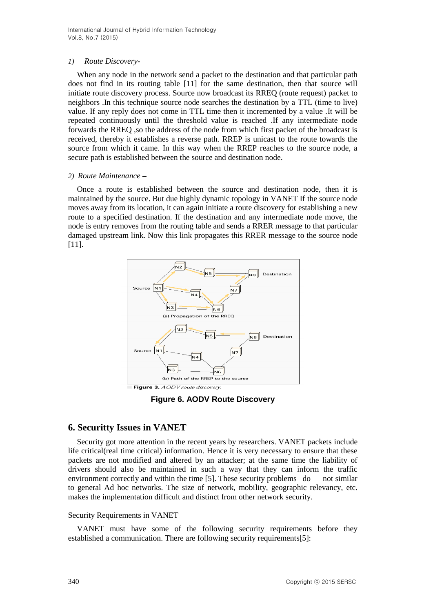# *1) Route Discovery-*

When any node in the network send a packet to the destination and that particular path does not find in its routing table [11] for the same destination, then that source will initiate route discovery process. Source now broadcast its RREQ (route request) packet to neighbors .In this technique source node searches the destination by a TTL (time to live) value. If any reply does not come in TTL time then it incremented by a value .It will be repeated continuously until the threshold value is reached .If any intermediate node forwards the RREQ, so the address of the node from which first packet of the broadcast is received, thereby it establishes a reverse path. RREP is unicast to the route towards the source from which it came. In this way when the RREP reaches to the source node, a secure path is established between the source and destination node.

### *2) Route Maintenance –*

Once a route is established between the source and destination node, then it is maintained by the source. But due highly dynamic topology in VANET If the source node moves away from its location, it can again initiate a route discovery for establishing a new route to a specified destination. If the destination and any intermediate node move, the node is entry removes from the routing table and sends a RRER message to that particular damaged upstream link. Now this link propagates this RRER message to the source node [11].



**Figure 6. AODV Route Discovery**

# **6. Securitty Issues in VANET**

Security got more attention in the recent years by researchers. VANET packets include life critical(real time critical) information. Hence it is very necessary to ensure that these packets are not modified and altered by an attacker; at the same time the liability of drivers should also be maintained in such a way that they can inform the traffic environment correctly and within the time [5]. These security problems do not similar to general Ad hoc networks. The size of network, mobility, geographic relevancy, etc. makes the implementation difficult and distinct from other network security.

### Security Requirements in VANET

VANET must have some of the following security requirements before they established a communication. There are following security requirements[5]: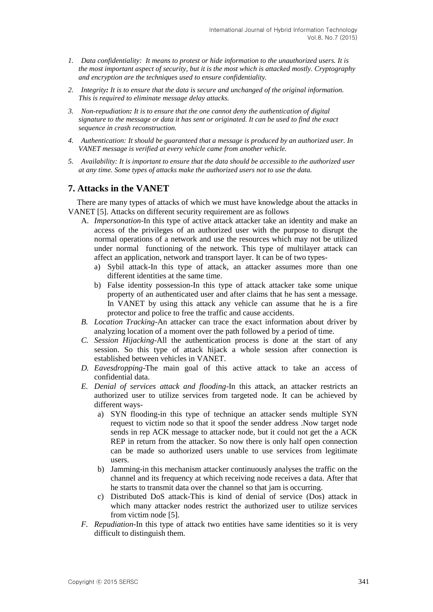- *1. Data confidentiality: It means to protest or hide information to the unauthorized users. It is the most important aspect of security, but it is the most which is attacked mostly. Cryptography and encryption are the techniques used to ensure confidentiality.*
- *2. Integrity: It is to ensure that the data is secure and unchanged of the original information. This is required to eliminate message delay attacks.*
- *3. Non-repudiation: It is to ensure that the one cannot deny the authentication of digital signature to the message or data it has sent or originated. It can be used to find the exact sequence in crash reconstruction.*
- *4. Authentication: It should be guaranteed that a message is produced by an authorized user. In VANET message is verified at every vehicle came from another vehicle.*
- *5. Availability: It is important to ensure that the data should be accessible to the authorized user at any time. Some types of attacks make the authorized users not to use the data.*

# **7. Attacks in the VANET**

There are many types of attacks of which we must have knowledge about the attacks in VANET [5]. Attacks on different security requirement are as follows

- A. *Impersonation*-In this type of active attack attacker take an identity and make an access of the privileges of an authorized user with the purpose to disrupt the normal operations of a network and use the resources which may not be utilized under normal functioning of the network. This type of multilayer attack can affect an application, network and transport layer. It can be of two types
	- a) Sybil attack-In this type of attack, an attacker assumes more than one different identities at the same time.
	- b) False identity possession-In this type of attack attacker take some unique property of an authenticated user and after claims that he has sent a message. In VANET by using this attack any vehicle can assume that he is a fire protector and police to free the traffic and cause accidents.
- *B. Location Tracking*-An attacker can trace the exact information about driver by analyzing location of a moment over the path followed by a period of time.
- *C. Session Hijacking*-All the authentication process is done at the start of any session. So this type of attack hijack a whole session after connection is established between vehicles in VANET.
- *D. Eavesdropping*-The main goal of this active attack to take an access of confidential data.
- *E. Denial of services attack and flooding*-In this attack, an attacker restricts an authorized user to utilize services from targeted node. It can be achieved by different ways
	- a) SYN flooding-in this type of technique an attacker sends multiple SYN request to victim node so that it spoof the sender address .Now target node sends in rep ACK message to attacker node, but it could not get the a ACK REP in return from the attacker. So now there is only half open connection can be made so authorized users unable to use services from legitimate users.
	- b) Jamming-in this mechanism attacker continuously analyses the traffic on the channel and its frequency at which receiving node receives a data. After that he starts to transmit data over the channel so that jam is occurring.
	- c) Distributed DoS attack-This is kind of denial of service (Dos) attack in which many attacker nodes restrict the authorized user to utilize services from victim node [5].
- *F. Repudiation*-In this type of attack two entities have same identities so it is very difficult to distinguish them.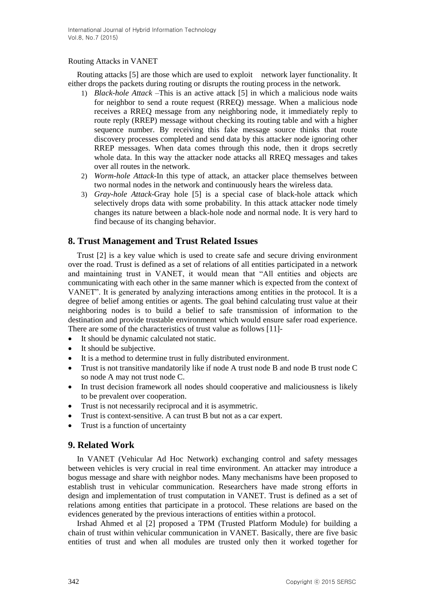# Routing Attacks in VANET

Routing attacks [5] are those which are used to exploit network layer functionality. It either drops the packets during routing or disrupts the routing process in the network.

- 1) *Black-hole Attack* –This is an active attack [5] in which a malicious node waits for neighbor to send a route request (RREQ) message. When a malicious node receives a RREQ message from any neighboring node, it immediately reply to route reply (RREP) message without checking its routing table and with a higher sequence number. By receiving this fake message source thinks that route discovery processes completed and send data by this attacker node ignoring other RREP messages. When data comes through this node, then it drops secretly whole data. In this way the attacker node attacks all RREQ messages and takes over all routes in the network.
- 2) *Worm-hole Attack*-In this type of attack, an attacker place themselves between two normal nodes in the network and continuously hears the wireless data.
- 3) *Gray-hole Attack*-Gray hole [5] is a special case of black-hole attack which selectively drops data with some probability. In this attack attacker node timely changes its nature between a black-hole node and normal node. It is very hard to find because of its changing behavior.

# **8. Trust Management and Trust Related Issues**

Trust [2] is a key value which is used to create safe and secure driving environment over the road. Trust is defined as a set of relations of all entities participated in a network and maintaining trust in VANET, it would mean that "All entities and objects are communicating with each other in the same manner which is expected from the context of VANET". It is generated by analyzing interactions among entities in the protocol. It is a degree of belief among entities or agents. The goal behind calculating trust value at their neighboring nodes is to build a belief to safe transmission of information to the destination and provide trustable environment which would ensure safer road experience. There are some of the characteristics of trust value as follows [11]-

- It should be dynamic calculated not static.
- It should be subjective.
- It is a method to determine trust in fully distributed environment.
- Trust is not transitive mandatorily like if node A trust node B and node B trust node C so node A may not trust node C.
- In trust decision framework all nodes should cooperative and maliciousness is likely to be prevalent over cooperation.
- Trust is not necessarily reciprocal and it is asymmetric.
- Trust is context-sensitive. A can trust B but not as a car expert.
- Trust is a function of uncertainty

# **9. Related Work**

In VANET (Vehicular Ad Hoc Network) exchanging control and safety messages between vehicles is very crucial in real time environment. An attacker may introduce a bogus message and share with neighbor nodes. Many mechanisms have been proposed to establish trust in vehicular communication. Researchers have made strong efforts in design and implementation of trust computation in VANET. Trust is defined as a set of relations among entities that participate in a protocol. These relations are based on the evidences generated by the previous interactions of entities within a protocol.

Irshad Ahmed et al [2] proposed a TPM (Trusted Platform Module) for building a chain of trust within vehicular communication in VANET. Basically, there are five basic entities of trust and when all modules are trusted only then it worked together for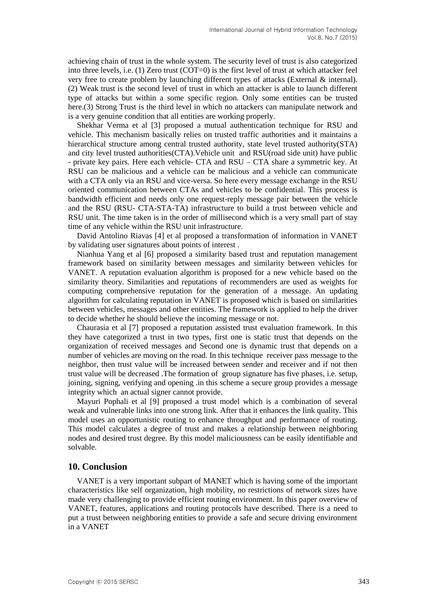achieving chain of trust in the whole system. The security level of trust is also categorized into three levels, i.e. (1) Zero trust (COT=0) is the first level of trust at which attacker feel very free to create problem by launching different types of attacks (External & internal). (2) Weak trust is the second level of trust in which an attacker is able to launch different type of attacks but within a some specific region. Only some entities can be trusted here.(3) Strong Trust is the third level in which no attackers can manipulate network and is a very genuine condition that all entities are working properly.

Shekhar Verma et al [3] proposed a mutual authentication technique for RSU and vehicle. This mechanism basically relies on trusted traffic authorities and it maintains a hierarchical structure among central trusted authority, state level trusted authority(STA) and city level trusted authorities(CTA).Vehicle unit and RSU(road side unit) have public - private key pairs. Here each vehicle- CTA and RSU – CTA share a symmetric key. At RSU can be malicious and a vehicle can be malicious and a vehicle can communicate with a CTA only via an RSU and vice-versa. So here every message exchange in the RSU oriented communication between CTAs and vehicles to be confidential. This process is bandwidth efficient and needs only one request-reply message pair between the vehicle and the RSU (RSU- CTA-STA-TA) infrastructure to build a trust between vehicle and RSU unit. The time taken is in the order of millisecond which is a very small part of stay time of any vehicle within the RSU unit infrastructure.

David Antolino Riavas [4] et al proposed a transformation of information in VANET by validating user signatures about points of interest .

Nianhua Yang et al [6] proposed a similarity based trust and reputation management framework based on similarity between messages and similarity between vehicles for VANET. A reputation evaluation algorithm is proposed for a new vehicle based on the similarity theory. Similarities and reputations of recommenders are used as weights for computing comprehensive reputation for the generation of a message. An updating algorithm for calculating reputation in VANET is proposed which is based on similarities between vehicles, messages and other entities. The framework is applied to help the driver to decide whether he should believe the incoming message or not.

Chaurasia et al [7] proposed a reputation assisted trust evaluation framework. In this they have categorized a trust in two types, first one is static trust that depends on the organization of received messages and Second one is dynamic trust that depends on a number of vehicles are moving on the road. In this technique receiver pass message to the neighbor, then trust value will be increased between sender and receiver and if not then trust value will be decreased .The formation of group signature has five phases, i.e. setup, joining, signing, verifying and opening .in this scheme a secure group provides a message integrity which an actual signer cannot provide.

Mayuri Pophali et al [9] proposed a trust model which is a combination of several weak and vulnerable links into one strong link. After that it enhances the link quality. This model uses an opportunistic routing to enhance throughput and performance of routing. This model calculates a degree of trust and makes a relationship between neighboring nodes and desired trust degree. By this model maliciousness can be easily identifiable and solvable.

### **10. Conclusion**

VANET is a very important subpart of MANET which is having some of the important characteristics like self organization, high mobility, no restrictions of network sizes have made very challenging to provide efficient routing environment. In this paper overview of VANET, features, applications and routing protocols have described. There is a need to put a trust between neighboring entities to provide a safe and secure driving environment in a VANET